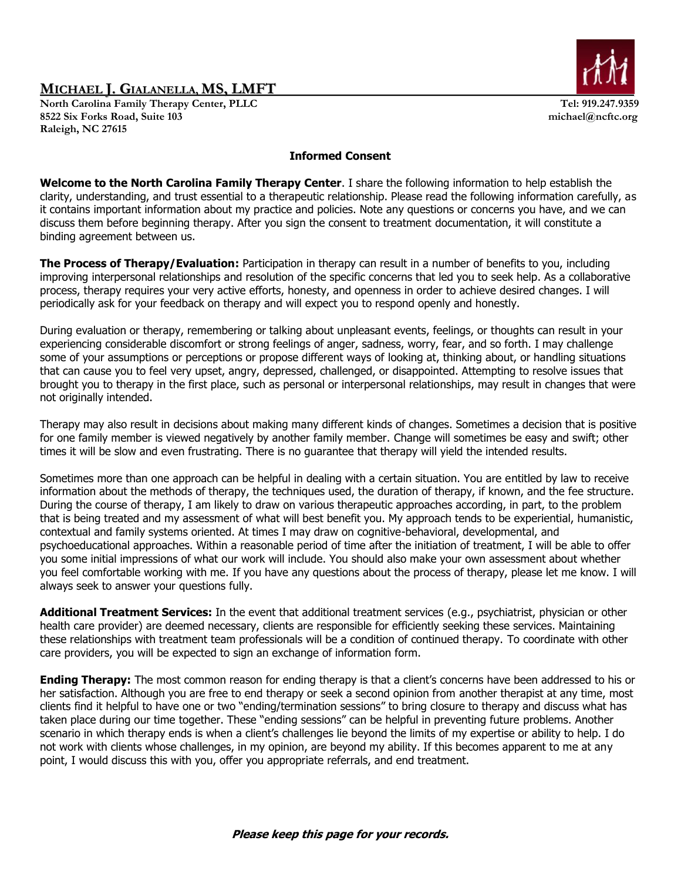North Carolina Family Therapy Center, PLLC Tel: 919.247.9359 **8522 Six Forks Road, Suite 103 michael@ncftc.org Raleigh, NC 27615** 



#### **Informed Consent**

**Welcome to the North Carolina Family Therapy Center**. I share the following information to help establish the clarity, understanding, and trust essential to a therapeutic relationship. Please read the following information carefully, as it contains important information about my practice and policies. Note any questions or concerns you have, and we can discuss them before beginning therapy. After you sign the consent to treatment documentation, it will constitute a binding agreement between us.

**The Process of Therapy/Evaluation:** Participation in therapy can result in a number of benefits to you, including improving interpersonal relationships and resolution of the specific concerns that led you to seek help. As a collaborative process, therapy requires your very active efforts, honesty, and openness in order to achieve desired changes. I will periodically ask for your feedback on therapy and will expect you to respond openly and honestly.

During evaluation or therapy, remembering or talking about unpleasant events, feelings, or thoughts can result in your experiencing considerable discomfort or strong feelings of anger, sadness, worry, fear, and so forth. I may challenge some of your assumptions or perceptions or propose different ways of looking at, thinking about, or handling situations that can cause you to feel very upset, angry, depressed, challenged, or disappointed. Attempting to resolve issues that brought you to therapy in the first place, such as personal or interpersonal relationships, may result in changes that were not originally intended.

Therapy may also result in decisions about making many different kinds of changes. Sometimes a decision that is positive for one family member is viewed negatively by another family member. Change will sometimes be easy and swift; other times it will be slow and even frustrating. There is no guarantee that therapy will yield the intended results.

Sometimes more than one approach can be helpful in dealing with a certain situation. You are entitled by law to receive information about the methods of therapy, the techniques used, the duration of therapy, if known, and the fee structure. During the course of therapy, I am likely to draw on various therapeutic approaches according, in part, to the problem that is being treated and my assessment of what will best benefit you. My approach tends to be experiential, humanistic, contextual and family systems oriented. At times I may draw on cognitive-behavioral, developmental, and psychoeducational approaches. Within a reasonable period of time after the initiation of treatment, I will be able to offer you some initial impressions of what our work will include. You should also make your own assessment about whether you feel comfortable working with me. If you have any questions about the process of therapy, please let me know. I will always seek to answer your questions fully.

**Additional Treatment Services:** In the event that additional treatment services (e.g., psychiatrist, physician or other health care provider) are deemed necessary, clients are responsible for efficiently seeking these services. Maintaining these relationships with treatment team professionals will be a condition of continued therapy. To coordinate with other care providers, you will be expected to sign an exchange of information form.

**Ending Therapy:** The most common reason for ending therapy is that a client's concerns have been addressed to his or her satisfaction. Although you are free to end therapy or seek a second opinion from another therapist at any time, most clients find it helpful to have one or two "ending/termination sessions" to bring closure to therapy and discuss what has taken place during our time together. These "ending sessions" can be helpful in preventing future problems. Another scenario in which therapy ends is when a client's challenges lie beyond the limits of my expertise or ability to help. I do not work with clients whose challenges, in my opinion, are beyond my ability. If this becomes apparent to me at any point, I would discuss this with you, offer you appropriate referrals, and end treatment.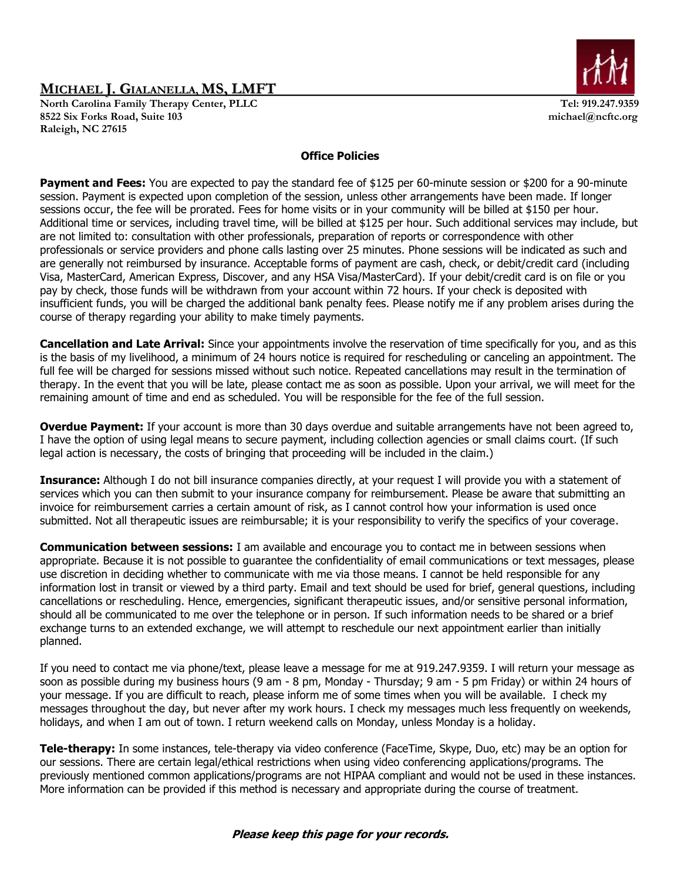North Carolina Family Therapy Center, PLLC Tel: 919.247.9359 **8522 Six Forks Road, Suite 103 michael@ncftc.org Raleigh, NC 27615** 



### **Office Policies**

Payment and Fees: You are expected to pay the standard fee of \$125 per 60-minute session or \$200 for a 90-minute session. Payment is expected upon completion of the session, unless other arrangements have been made. If longer sessions occur, the fee will be prorated. Fees for home visits or in your community will be billed at \$150 per hour. Additional time or services, including travel time, will be billed at \$125 per hour. Such additional services may include, but are not limited to: consultation with other professionals, preparation of reports or correspondence with other professionals or service providers and phone calls lasting over 25 minutes. Phone sessions will be indicated as such and are generally not reimbursed by insurance. Acceptable forms of payment are cash, check, or debit/credit card (including Visa, MasterCard, American Express, Discover, and any HSA Visa/MasterCard). If your debit/credit card is on file or you pay by check, those funds will be withdrawn from your account within 72 hours. If your check is deposited with insufficient funds, you will be charged the additional bank penalty fees. Please notify me if any problem arises during the course of therapy regarding your ability to make timely payments.

**Cancellation and Late Arrival:** Since your appointments involve the reservation of time specifically for you, and as this is the basis of my livelihood, a minimum of 24 hours notice is required for rescheduling or canceling an appointment. The full fee will be charged for sessions missed without such notice. Repeated cancellations may result in the termination of therapy. In the event that you will be late, please contact me as soon as possible. Upon your arrival, we will meet for the remaining amount of time and end as scheduled. You will be responsible for the fee of the full session.

**Overdue Payment:** If your account is more than 30 days overdue and suitable arrangements have not been agreed to, I have the option of using legal means to secure payment, including collection agencies or small claims court. (If such legal action is necessary, the costs of bringing that proceeding will be included in the claim.)

**Insurance:** Although I do not bill insurance companies directly, at your request I will provide you with a statement of services which you can then submit to your insurance company for reimbursement. Please be aware that submitting an invoice for reimbursement carries a certain amount of risk, as I cannot control how your information is used once submitted. Not all therapeutic issues are reimbursable; it is your responsibility to verify the specifics of your coverage.

**Communication between sessions:** I am available and encourage you to contact me in between sessions when appropriate. Because it is not possible to guarantee the confidentiality of email communications or text messages, please use discretion in deciding whether to communicate with me via those means. I cannot be held responsible for any information lost in transit or viewed by a third party. Email and text should be used for brief, general questions, including cancellations or rescheduling. Hence, emergencies, significant therapeutic issues, and/or sensitive personal information, should all be communicated to me over the telephone or in person. If such information needs to be shared or a brief exchange turns to an extended exchange, we will attempt to reschedule our next appointment earlier than initially planned.

If you need to contact me via phone/text, please leave a message for me at 919.247.9359. I will return your message as soon as possible during my business hours (9 am - 8 pm, Monday - Thursday; 9 am - 5 pm Friday) or within 24 hours of your message. If you are difficult to reach, please inform me of some times when you will be available. I check my messages throughout the day, but never after my work hours. I check my messages much less frequently on weekends, holidays, and when I am out of town. I return weekend calls on Monday, unless Monday is a holiday.

**Tele-therapy:** In some instances, tele-therapy via video conference (FaceTime, Skype, Duo, etc) may be an option for our sessions. There are certain legal/ethical restrictions when using video conferencing applications/programs. The previously mentioned common applications/programs are not HIPAA compliant and would not be used in these instances. More information can be provided if this method is necessary and appropriate during the course of treatment.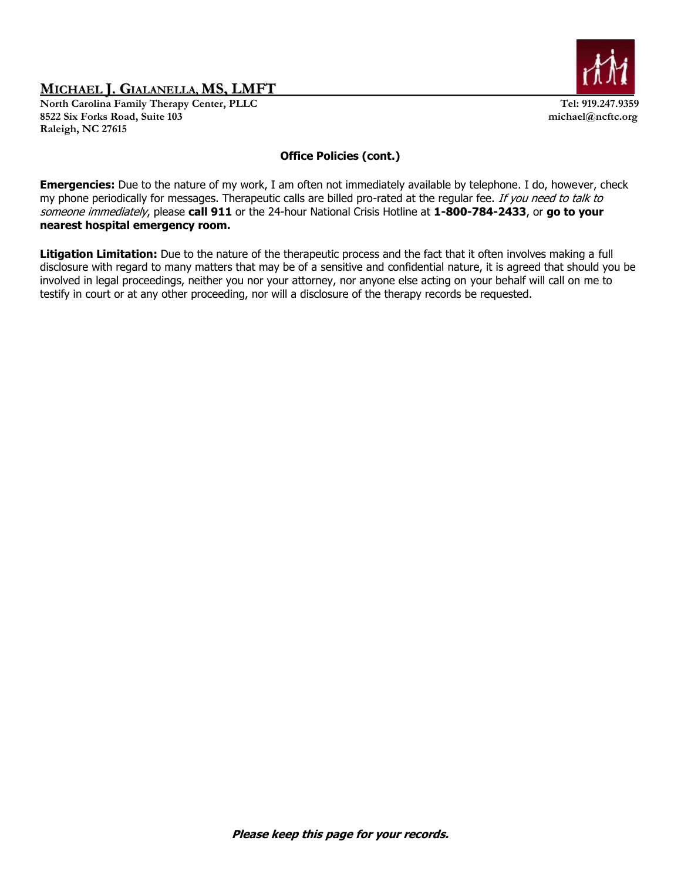North Carolina Family Therapy Center, PLLC Tel: 919.247.9359 **8522 Six Forks Road, Suite 103 michael@ncftc.org Raleigh, NC 27615** 



### **Office Policies (cont.)**

**Emergencies:** Due to the nature of my work, I am often not immediately available by telephone. I do, however, check my phone periodically for messages. Therapeutic calls are billed pro-rated at the regular fee. If you need to talk to someone immediately, please **call 911** or the 24-hour National Crisis Hotline at **1-800-784-2433**, or **go to your nearest hospital emergency room.**

**Litigation Limitation:** Due to the nature of the therapeutic process and the fact that it often involves making a full disclosure with regard to many matters that may be of a sensitive and confidential nature, it is agreed that should you be involved in legal proceedings, neither you nor your attorney, nor anyone else acting on your behalf will call on me to testify in court or at any other proceeding, nor will a disclosure of the therapy records be requested.